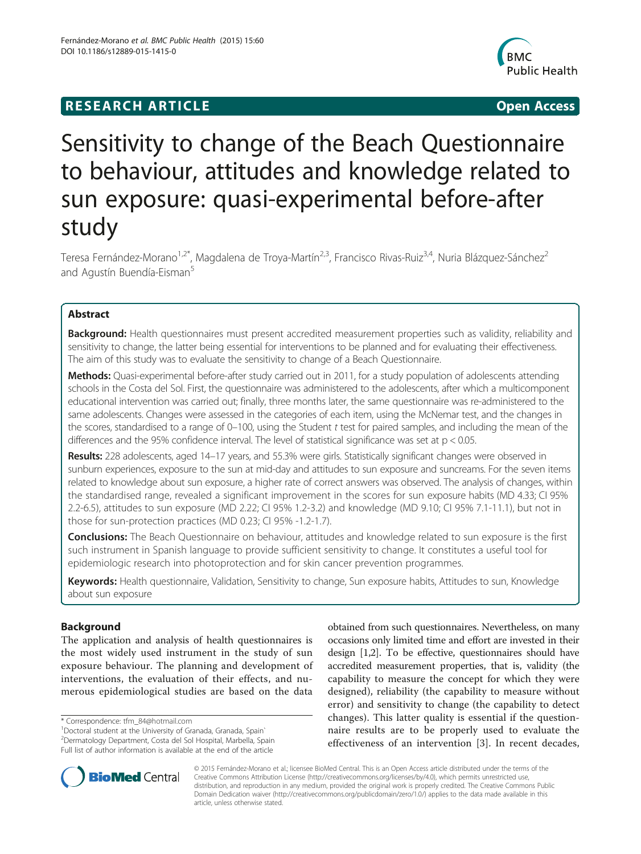# **RESEARCH ARTICLE Example 2018 12:00 Department of the Contract Open Access**



# Sensitivity to change of the Beach Questionnaire to behaviour, attitudes and knowledge related to sun exposure: quasi-experimental before-after study

Teresa Fernández-Morano<sup>1,2\*</sup>, Magdalena de Troya-Martín<sup>2,3</sup>, Francisco Rivas-Ruiz<sup>3,4</sup>, Nuria Blázquez-Sánchez<sup>2</sup> and Agustín Buendía-Eisman<sup>5</sup>

# Abstract

Background: Health questionnaires must present accredited measurement properties such as validity, reliability and sensitivity to change, the latter being essential for interventions to be planned and for evaluating their effectiveness. The aim of this study was to evaluate the sensitivity to change of a Beach Questionnaire.

Methods: Quasi-experimental before-after study carried out in 2011, for a study population of adolescents attending schools in the Costa del Sol. First, the questionnaire was administered to the adolescents, after which a multicomponent educational intervention was carried out; finally, three months later, the same questionnaire was re-administered to the same adolescents. Changes were assessed in the categories of each item, using the McNemar test, and the changes in the scores, standardised to a range of 0–100, using the Student t test for paired samples, and including the mean of the differences and the 95% confidence interval. The level of statistical significance was set at  $p < 0.05$ .

Results: 228 adolescents, aged 14–17 years, and 55.3% were girls. Statistically significant changes were observed in sunburn experiences, exposure to the sun at mid-day and attitudes to sun exposure and suncreams. For the seven items related to knowledge about sun exposure, a higher rate of correct answers was observed. The analysis of changes, within the standardised range, revealed a significant improvement in the scores for sun exposure habits (MD 4.33; CI 95% 2.2-6.5), attitudes to sun exposure (MD 2.22; CI 95% 1.2-3.2) and knowledge (MD 9.10; CI 95% 7.1-11.1), but not in those for sun-protection practices (MD 0.23; CI 95% -1.2-1.7).

**Conclusions:** The Beach Questionnaire on behaviour, attitudes and knowledge related to sun exposure is the first such instrument in Spanish language to provide sufficient sensitivity to change. It constitutes a useful tool for epidemiologic research into photoprotection and for skin cancer prevention programmes.

Keywords: Health questionnaire, Validation, Sensitivity to change, Sun exposure habits, Attitudes to sun, Knowledge about sun exposure

# Background

The application and analysis of health questionnaires is the most widely used instrument in the study of sun exposure behaviour. The planning and development of interventions, the evaluation of their effects, and numerous epidemiological studies are based on the data

\* Correspondence: [tfm\\_84@hotmail.com](mailto:tfm_84@hotmail.com) <sup>1</sup>

Full list of author information is available at the end of the article

obtained from such questionnaires. Nevertheless, on many occasions only limited time and effort are invested in their design [[1,2](#page-5-0)]. To be effective, questionnaires should have accredited measurement properties, that is, validity (the capability to measure the concept for which they were designed), reliability (the capability to measure without error) and sensitivity to change (the capability to detect changes). This latter quality is essential if the questionnaire results are to be properly used to evaluate the effectiveness of an intervention [[3\]](#page-5-0). In recent decades,



© 2015 Fernández-Morano et al.; licensee BioMed Central. This is an Open Access article distributed under the terms of the Creative Commons Attribution License (<http://creativecommons.org/licenses/by/4.0>), which permits unrestricted use, distribution, and reproduction in any medium, provided the original work is properly credited. The Creative Commons Public Domain Dedication waiver [\(http://creativecommons.org/publicdomain/zero/1.0/\)](http://creativecommons.org/publicdomain/zero/1.0/) applies to the data made available in this article, unless otherwise stated.

<sup>&</sup>lt;sup>1</sup> Doctoral student at the University of Granada, Granada, Spain`

<sup>2</sup> Dermatology Department, Costa del Sol Hospital, Marbella, Spain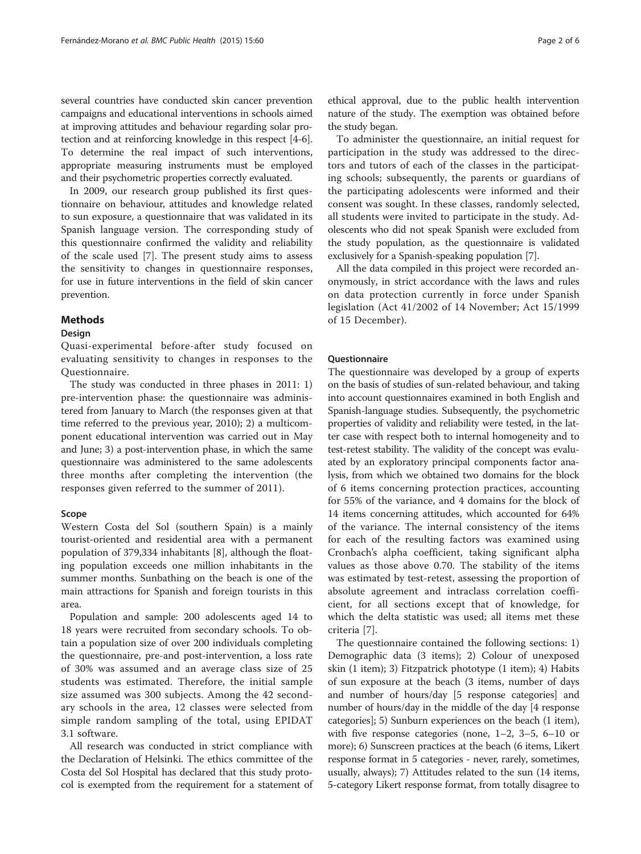several countries have conducted skin cancer prevention campaigns and educational interventions in schools aimed at improving attitudes and behaviour regarding solar protection and at reinforcing knowledge in this respect [\[4](#page-5-0)-[6](#page-5-0)]. To determine the real impact of such interventions, appropriate measuring instruments must be employed and their psychometric properties correctly evaluated.

In 2009, our research group published its first questionnaire on behaviour, attitudes and knowledge related to sun exposure, a questionnaire that was validated in its Spanish language version. The corresponding study of this questionnaire confirmed the validity and reliability of the scale used [[7\]](#page-5-0). The present study aims to assess the sensitivity to changes in questionnaire responses, for use in future interventions in the field of skin cancer prevention.

# **Methods**

#### Design

Quasi-experimental before-after study focused on evaluating sensitivity to changes in responses to the Questionnaire.

The study was conducted in three phases in 2011: 1) pre-intervention phase: the questionnaire was administered from January to March (the responses given at that time referred to the previous year, 2010); 2) a multicomponent educational intervention was carried out in May and June; 3) a post-intervention phase, in which the same questionnaire was administered to the same adolescents three months after completing the intervention (the responses given referred to the summer of 2011).

### Scope

Western Costa del Sol (southern Spain) is a mainly tourist-oriented and residential area with a permanent population of 379,334 inhabitants [[8\]](#page-5-0), although the floating population exceeds one million inhabitants in the summer months. Sunbathing on the beach is one of the main attractions for Spanish and foreign tourists in this area.

Population and sample: 200 adolescents aged 14 to 18 years were recruited from secondary schools. To obtain a population size of over 200 individuals completing the questionnaire, pre-and post-intervention, a loss rate of 30% was assumed and an average class size of 25 students was estimated. Therefore, the initial sample size assumed was 300 subjects. Among the 42 secondary schools in the area, 12 classes were selected from simple random sampling of the total, using EPIDAT 3.1 software.

All research was conducted in strict compliance with the Declaration of Helsinki. The ethics committee of the Costa del Sol Hospital has declared that this study protocol is exempted from the requirement for a statement of ethical approval, due to the public health intervention nature of the study. The exemption was obtained before the study began.

To administer the questionnaire, an initial request for participation in the study was addressed to the directors and tutors of each of the classes in the participating schools; subsequently, the parents or guardians of the participating adolescents were informed and their consent was sought. In these classes, randomly selected, all students were invited to participate in the study. Adolescents who did not speak Spanish were excluded from the study population, as the questionnaire is validated exclusively for a Spanish-speaking population [\[7](#page-5-0)].

All the data compiled in this project were recorded anonymously, in strict accordance with the laws and rules on data protection currently in force under Spanish legislation (Act 41/2002 of 14 November; Act 15/1999 of 15 December).

#### Questionnaire

The questionnaire was developed by a group of experts on the basis of studies of sun-related behaviour, and taking into account questionnaires examined in both English and Spanish-language studies. Subsequently, the psychometric properties of validity and reliability were tested, in the latter case with respect both to internal homogeneity and to test-retest stability. The validity of the concept was evaluated by an exploratory principal components factor analysis, from which we obtained two domains for the block of 6 items concerning protection practices, accounting for 55% of the variance, and 4 domains for the block of 14 items concerning attitudes, which accounted for 64% of the variance. The internal consistency of the items for each of the resulting factors was examined using Cronbach's alpha coefficient, taking significant alpha values as those above 0.70. The stability of the items was estimated by test-retest, assessing the proportion of absolute agreement and intraclass correlation coefficient, for all sections except that of knowledge, for which the delta statistic was used; all items met these criteria [\[7](#page-5-0)].

The questionnaire contained the following sections: 1) Demographic data (3 items); 2) Colour of unexposed skin (1 item); 3) Fitzpatrick phototype (1 item); 4) Habits of sun exposure at the beach (3 items, number of days and number of hours/day [5 response categories] and number of hours/day in the middle of the day [4 response categories]; 5) Sunburn experiences on the beach (1 item), with five response categories (none, 1–2, 3–5, 6–10 or more); 6) Sunscreen practices at the beach (6 items, Likert response format in 5 categories - never, rarely, sometimes, usually, always); 7) Attitudes related to the sun (14 items, 5-category Likert response format, from totally disagree to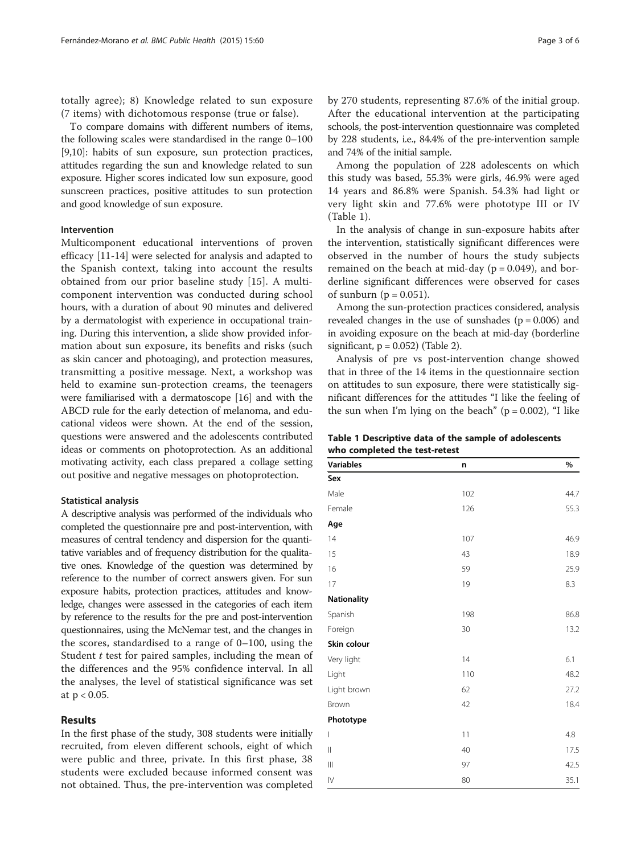totally agree); 8) Knowledge related to sun exposure (7 items) with dichotomous response (true or false).

To compare domains with different numbers of items, the following scales were standardised in the range 0–100 [[9,10](#page-5-0)]: habits of sun exposure, sun protection practices, attitudes regarding the sun and knowledge related to sun exposure. Higher scores indicated low sun exposure, good sunscreen practices, positive attitudes to sun protection and good knowledge of sun exposure.

#### Intervention

Multicomponent educational interventions of proven efficacy [\[11-14](#page-5-0)] were selected for analysis and adapted to the Spanish context, taking into account the results obtained from our prior baseline study [\[15\]](#page-5-0). A multicomponent intervention was conducted during school hours, with a duration of about 90 minutes and delivered by a dermatologist with experience in occupational training. During this intervention, a slide show provided information about sun exposure, its benefits and risks (such as skin cancer and photoaging), and protection measures, transmitting a positive message. Next, a workshop was held to examine sun-protection creams, the teenagers were familiarised with a dermatoscope [\[16](#page-5-0)] and with the ABCD rule for the early detection of melanoma, and educational videos were shown. At the end of the session, questions were answered and the adolescents contributed ideas or comments on photoprotection. As an additional motivating activity, each class prepared a collage setting out positive and negative messages on photoprotection.

# Statistical analysis

A descriptive analysis was performed of the individuals who completed the questionnaire pre and post-intervention, with measures of central tendency and dispersion for the quantitative variables and of frequency distribution for the qualitative ones. Knowledge of the question was determined by reference to the number of correct answers given. For sun exposure habits, protection practices, attitudes and knowledge, changes were assessed in the categories of each item by reference to the results for the pre and post-intervention questionnaires, using the McNemar test, and the changes in the scores, standardised to a range of 0–100, using the Student *t* test for paired samples, including the mean of the differences and the 95% confidence interval. In all the analyses, the level of statistical significance was set at p < 0.05.

# Results

In the first phase of the study, 308 students were initially recruited, from eleven different schools, eight of which were public and three, private. In this first phase, 38 students were excluded because informed consent was not obtained. Thus, the pre-intervention was completed by 270 students, representing 87.6% of the initial group. After the educational intervention at the participating schools, the post-intervention questionnaire was completed by 228 students, i.e., 84.4% of the pre-intervention sample and 74% of the initial sample.

Among the population of 228 adolescents on which this study was based, 55.3% were girls, 46.9% were aged 14 years and 86.8% were Spanish. 54.3% had light or very light skin and 77.6% were phototype III or IV (Table 1).

In the analysis of change in sun-exposure habits after the intervention, statistically significant differences were observed in the number of hours the study subjects remained on the beach at mid-day ( $p = 0.049$ ), and borderline significant differences were observed for cases of sunburn ( $p = 0.051$ ).

Among the sun-protection practices considered, analysis revealed changes in the use of sunshades  $(p = 0.006)$  and in avoiding exposure on the beach at mid-day (borderline significant,  $p = 0.052$ ) (Table [2](#page-3-0)).

Analysis of pre vs post-intervention change showed that in three of the 14 items in the questionnaire section on attitudes to sun exposure, there were statistically significant differences for the attitudes "I like the feeling of the sun when I'm lying on the beach" ( $p = 0.002$ ), "I like

| Table 1 Descriptive data of the sample of adolescents |  |  |  |
|-------------------------------------------------------|--|--|--|
| who completed the test-retest                         |  |  |  |

| <b>Variables</b>                      | n   | $\%$ |
|---------------------------------------|-----|------|
| Sex                                   |     |      |
| Male                                  | 102 | 44.7 |
| Female                                | 126 | 55.3 |
| Age                                   |     |      |
| 14                                    | 107 | 46.9 |
| 15                                    | 43  | 18.9 |
| 16                                    | 59  | 25.9 |
| 17                                    | 19  | 8.3  |
| <b>Nationality</b>                    |     |      |
| Spanish                               | 198 | 86.8 |
| Foreign                               | 30  | 13.2 |
| Skin colour                           |     |      |
| Very light                            | 14  | 6.1  |
| Light                                 | 110 | 48.2 |
| Light brown                           | 62  | 27.2 |
| Brown                                 | 42  | 18.4 |
| Phototype                             |     |      |
| I                                     | 11  | 4.8  |
| $\mathbf{I}$                          | 40  | 17.5 |
| $\begin{array}{c} \hline \end{array}$ | 97  | 42.5 |
| $\mathsf{IV}$                         | 80  | 35.1 |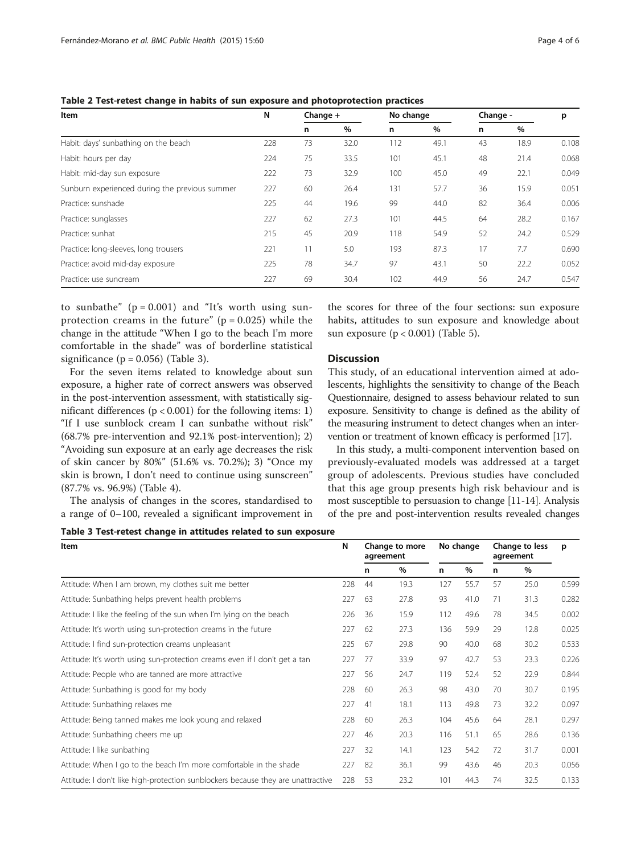| Item                                           | N   | Change $+$ |      | No change |      | Change - |      | p     |
|------------------------------------------------|-----|------------|------|-----------|------|----------|------|-------|
|                                                |     | n          | $\%$ | n         | $\%$ | n        | $\%$ |       |
| Habit: days' sunbathing on the beach           | 228 | 73         | 32.0 | 112       | 49.1 | 43       | 18.9 | 0.108 |
| Habit: hours per day                           | 224 | 75         | 33.5 | 101       | 45.1 | 48       | 21.4 | 0.068 |
| Habit: mid-day sun exposure                    | 222 | 73         | 32.9 | 100       | 45.0 | 49       | 22.1 | 0.049 |
| Sunburn experienced during the previous summer | 227 | 60         | 26.4 | 131       | 57.7 | 36       | 15.9 | 0.051 |
| Practice: sunshade                             | 225 | 44         | 19.6 | 99        | 44.0 | 82       | 36.4 | 0.006 |
| Practice: sunglasses                           | 227 | 62         | 27.3 | 101       | 44.5 | 64       | 28.2 | 0.167 |
| Practice: sunhat                               | 215 | 45         | 20.9 | 118       | 54.9 | 52       | 24.2 | 0.529 |
| Practice: long-sleeves, long trousers          | 221 | 11         | 5.0  | 193       | 87.3 | 17       | 7.7  | 0.690 |
| Practice: avoid mid-day exposure               | 225 | 78         | 34.7 | 97        | 43.1 | 50       | 22.2 | 0.052 |
| Practice: use suncream                         | 227 | 69         | 30.4 | 102       | 44.9 | 56       | 24.7 | 0.547 |

<span id="page-3-0"></span>Table 2 Test-retest change in habits of sun exposure and photoprotection practices

to sunbathe"  $(p = 0.001)$  and "It's worth using sunprotection creams in the future"  $(p = 0.025)$  while the change in the attitude "When I go to the beach I'm more comfortable in the shade" was of borderline statistical significance ( $p = 0.056$ ) (Table 3).

For the seven items related to knowledge about sun exposure, a higher rate of correct answers was observed in the post-intervention assessment, with statistically significant differences  $(p < 0.001)$  for the following items: 1) "If I use sunblock cream I can sunbathe without risk" (68.7% pre-intervention and 92.1% post-intervention); 2) "Avoiding sun exposure at an early age decreases the risk of skin cancer by 80%" (51.6% vs. 70.2%); 3) "Once my skin is brown, I don't need to continue using sunscreen" (87.7% vs. 96.9%) (Table [4\)](#page-4-0).

The analysis of changes in the scores, standardised to a range of 0–100, revealed a significant improvement in

the scores for three of the four sections: sun exposure habits, attitudes to sun exposure and knowledge about sun exposure  $(p < 0.001)$  (Table [5\)](#page-4-0).

# **Discussion**

This study, of an educational intervention aimed at adolescents, highlights the sensitivity to change of the Beach Questionnaire, designed to assess behaviour related to sun exposure. Sensitivity to change is defined as the ability of the measuring instrument to detect changes when an intervention or treatment of known efficacy is performed [[17](#page-5-0)].

In this study, a multi-component intervention based on previously-evaluated models was addressed at a target group of adolescents. Previous studies have concluded that this age group presents high risk behaviour and is most susceptible to persuasion to change [[11-14\]](#page-5-0). Analysis of the pre and post-intervention results revealed changes

Table 3 Test-retest change in attitudes related to sun exposure

| Item                                                                             |     | Change to more<br>agreement |      | No change |      | Change to less<br>agreement |      | p     |
|----------------------------------------------------------------------------------|-----|-----------------------------|------|-----------|------|-----------------------------|------|-------|
|                                                                                  |     | n                           | %    | n         | $\%$ | n                           | %    |       |
| Attitude: When I am brown, my clothes suit me better                             | 228 | 44                          | 19.3 | 127       | 55.7 | 57                          | 25.0 | 0.599 |
| Attitude: Sunbathing helps prevent health problems                               | 227 | 63                          | 27.8 | 93        | 41.0 | 71                          | 31.3 | 0.282 |
| Attitude: I like the feeling of the sun when I'm lying on the beach              | 226 | 36                          | 15.9 | 112       | 49.6 | 78                          | 34.5 | 0.002 |
| Attitude: It's worth using sun-protection creams in the future                   | 227 | 62                          | 27.3 | 136       | 59.9 | 29                          | 12.8 | 0.025 |
| Attitude: I find sun-protection creams unpleasant                                | 225 | 67                          | 29.8 | 90        | 40.0 | 68                          | 30.2 | 0.533 |
| Attitude: It's worth using sun-protection creams even if I don't get a tan       | 227 | 77                          | 33.9 | 97        | 42.7 | 53                          | 23.3 | 0.226 |
| Attitude: People who are tanned are more attractive                              | 227 | 56                          | 24.7 | 119       | 52.4 | 52                          | 22.9 | 0.844 |
| Attitude: Sunbathing is good for my body                                         | 228 | 60                          | 26.3 | 98        | 43.0 | 70                          | 30.7 | 0.195 |
| Attitude: Sunbathing relaxes me                                                  | 227 | 41                          | 18.1 | 113       | 49.8 | 73                          | 32.2 | 0.097 |
| Attitude: Being tanned makes me look young and relaxed                           | 228 | 60                          | 26.3 | 104       | 45.6 | 64                          | 28.1 | 0.297 |
| Attitude: Sunbathing cheers me up                                                | 227 | 46                          | 20.3 | 116       | 51.1 | 65                          | 28.6 | 0.136 |
| Attitude: I like sunbathing                                                      | 227 | 32                          | 14.1 | 123       | 54.2 | 72                          | 31.7 | 0.001 |
| Attitude: When I go to the beach I'm more comfortable in the shade               | 227 | 82                          | 36.1 | 99        | 43.6 | 46                          | 20.3 | 0.056 |
| Attitude: I don't like high-protection sunblockers because they are unattractive | 228 | 53                          | 23.2 | 101       | 44.3 | 74                          | 32.5 | 0.133 |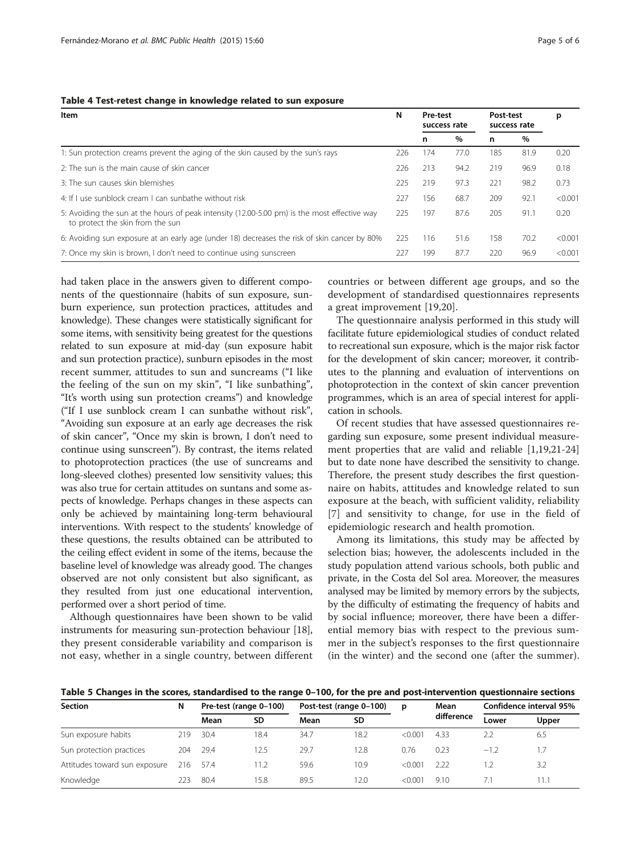### <span id="page-4-0"></span>Table 4 Test-retest change in knowledge related to sun exposure

| Item                                                                                                                             | N   | <b>Pre-test</b><br>success rate |      | Post-test<br>success rate |      | р       |
|----------------------------------------------------------------------------------------------------------------------------------|-----|---------------------------------|------|---------------------------|------|---------|
|                                                                                                                                  |     | n                               | $\%$ | n                         | %    |         |
| 1: Sun protection creams prevent the aging of the skin caused by the sun's rays                                                  | 226 | 174                             | 77.0 | 185                       | 81.9 | 0.20    |
| 2: The sun is the main cause of skin cancer                                                                                      | 226 | 213                             | 94.2 | 219                       | 96.9 | 0.18    |
| 3: The sun causes skin blemishes                                                                                                 | 225 | 219                             | 97.3 | 221                       | 98.2 | 0.73    |
| 4: If Luse sunblock cream Lcan sunbathe without risk                                                                             | 227 | 156                             | 68.7 | 209                       | 92.1 | < 0.001 |
| 5: Avoiding the sun at the hours of peak intensity (12.00-5.00 pm) is the most effective way<br>to protect the skin from the sun | 225 | 197                             | 87.6 | 205                       | 91.1 | 0.20    |
| 6: Avoiding sun exposure at an early age (under 18) decreases the risk of skin cancer by 80%                                     | 225 | 116                             | 51.6 | 158                       | 70.2 | < 0.001 |
| 7: Once my skin is brown, I don't need to continue using sunscreen                                                               | 227 | 199                             | 87.7 | 220                       | 96.9 | < 0.001 |

had taken place in the answers given to different components of the questionnaire (habits of sun exposure, sunburn experience, sun protection practices, attitudes and knowledge). These changes were statistically significant for some items, with sensitivity being greatest for the questions related to sun exposure at mid-day (sun exposure habit and sun protection practice), sunburn episodes in the most recent summer, attitudes to sun and suncreams ("I like the feeling of the sun on my skin", "I like sunbathing", "It's worth using sun protection creams") and knowledge ("If I use sunblock cream I can sunbathe without risk", "Avoiding sun exposure at an early age decreases the risk of skin cancer", "Once my skin is brown, I don't need to continue using sunscreen"). By contrast, the items related to photoprotection practices (the use of suncreams and long-sleeved clothes) presented low sensitivity values; this was also true for certain attitudes on suntans and some aspects of knowledge. Perhaps changes in these aspects can only be achieved by maintaining long-term behavioural interventions. With respect to the students' knowledge of these questions, the results obtained can be attributed to the ceiling effect evident in some of the items, because the baseline level of knowledge was already good. The changes observed are not only consistent but also significant, as they resulted from just one educational intervention, performed over a short period of time.

Although questionnaires have been shown to be valid instruments for measuring sun-protection behaviour [[18](#page-5-0)], they present considerable variability and comparison is not easy, whether in a single country, between different countries or between different age groups, and so the development of standardised questionnaires represents a great improvement [[19,20](#page-5-0)].

The questionnaire analysis performed in this study will facilitate future epidemiological studies of conduct related to recreational sun exposure, which is the major risk factor for the development of skin cancer; moreover, it contributes to the planning and evaluation of interventions on photoprotection in the context of skin cancer prevention programmes, which is an area of special interest for application in schools.

Of recent studies that have assessed questionnaires regarding sun exposure, some present individual measurement properties that are valid and reliable [\[1,19,21](#page-5-0)-[24](#page-5-0)] but to date none have described the sensitivity to change. Therefore, the present study describes the first questionnaire on habits, attitudes and knowledge related to sun exposure at the beach, with sufficient validity, reliability [[7\]](#page-5-0) and sensitivity to change, for use in the field of epidemiologic research and health promotion.

Among its limitations, this study may be affected by selection bias; however, the adolescents included in the study population attend various schools, both public and private, in the Costa del Sol area. Moreover, the measures analysed may be limited by memory errors by the subjects, by the difficulty of estimating the frequency of habits and by social influence; moreover, there have been a differential memory bias with respect to the previous summer in the subject's responses to the first questionnaire (in the winter) and the second one (after the summer).

Table 5 Changes in the scores, standardised to the range 0–100, for the pre and post-intervention questionnaire sections

| Section                       | N   | Pre-test (range 0-100) |      | Post-test (range 0-100) |      | p       | Mean       | Confidence interval 95% |       |
|-------------------------------|-----|------------------------|------|-------------------------|------|---------|------------|-------------------------|-------|
|                               |     | Mean                   | SD   | Mean                    | SD   |         | difference | Lower                   | Upper |
| Sun exposure habits           | 219 | 30.4                   | 18.4 | 34.7                    | 18.2 | < 0.001 | 4.33       | 2.2                     | 6.5   |
| Sun protection practices      | 204 | 29.4                   | 12.5 | 29.7                    | 12.8 | 0.76    | 0.23       | $-1.2$                  | 1.7   |
| Attitudes toward sun exposure | 216 | 57.4                   | 11.2 | 59.6                    | 10.9 | < 0.001 | 222        |                         | 3.2   |
| Knowledge                     | 223 | 80.4                   | 15.8 | 89.5                    | 12.0 | < 0.001 | 9.10       | 7.1                     | 11.1  |